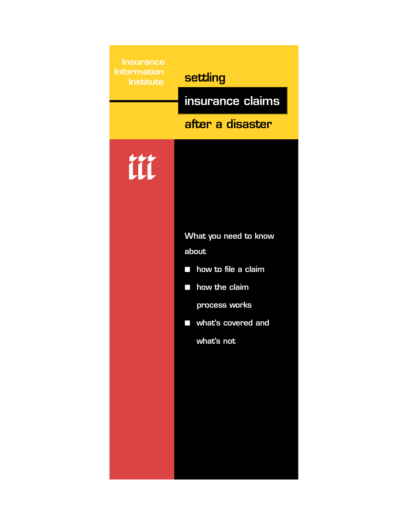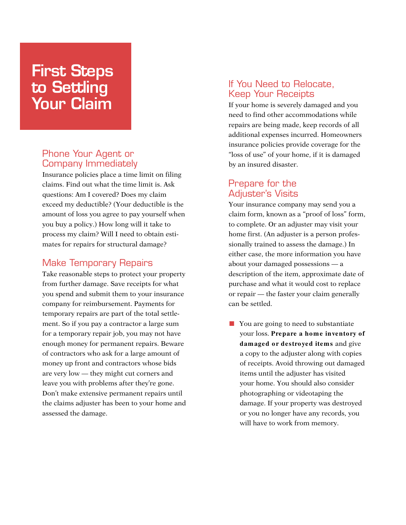# First Steps to Settling Your Claim

### Phone Your Agent or Company Immediately

Insurance policies place a time limit on filing claims. Find out what the time limit is. Ask questions: Am I covered? Does my claim exceed my deductible? (Your deductible is the amount of loss you agree to pay yourself when you buy a policy.) How long will it take to process my claim? Will I need to obtain estimates for repairs for structural damage?

#### Make Temporary Repairs

Take reasonable steps to protect your property from further damage. Save receipts for what you spend and submit them to your insurance company for reimbursement. Payments for temporary repairs are part of the total settlement. So if you pay a contractor a large sum for a temporary repair job, you may not have enough money for permanent repairs. Beware of contractors who ask for a large amount of money up front and contractors whose bids are very low — they might cut corners and leave you with problems after they're gone. Don't make extensive permanent repairs until the claims adjuster has been to your home and assessed the damage.

#### If You Need to Relocate, Keep Your Receipts

If your home is severely damaged and you need to find other accommodations while repairs are being made, keep records of all additional expenses incurred. Homeowners insurance policies provide coverage for the "loss of use" of your home, if it is damaged by an insured disaster.

### Prepare for the Adjuster's Visits

Your insurance company may send you a claim form, known as a "proof of loss" form, to complete. Or an adjuster may visit your home first. (An adjuster is a person professionally trained to assess the damage.) In either case, the more information you have about your damaged possessions — a description of the item, approximate date of purchase and what it would cost to replace or repair — the faster your claim generally can be settled.

■ You are going to need to substantiate your loss. **Prepare a hom e inventory of** damaged or destroyed items and give a copy to the adjuster along with copies of receipts. Avoid throwing out damaged items until the adjuster has visited your home. You should also consider photographing or videotaping the damage. If your property was destroyed or you no longer have any records, you will have to work from memory.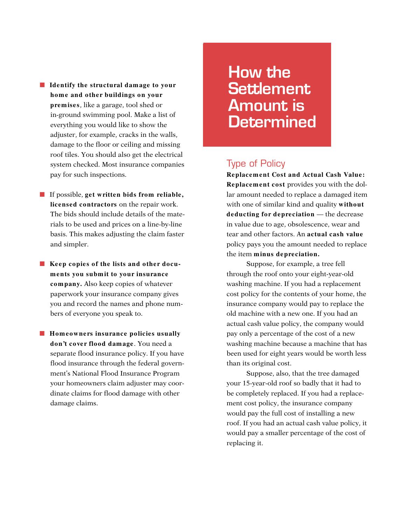- **Identify the structural damage to your hom e and other buildings on your prem ises**, like a garage, tool shed or in-ground swimming pool. Make a list of everything you would like to show the adjuster, for example, cracks in the walls, damage to the floor or ceiling and missing roof tiles. You should also get the electrical system checked. Most insurance companies pay for such inspections.
- If possible, **get written bids from reliable**, **licensed contractors** on the repair work. The bids should include details of the materials to be used and prices on a line-by-line basis. This makes adjusting the claim faster and simpler.
- Keep copies of the lists and other docu**m ents you subm it to your insurance com pany.** Also keep copies of whatever paperwork your insurance company gives you and record the names and phone numbers of everyone you speak to.

■ **Homeowners insurance policies usually don't cover flood dam age**. You need a separate flood insurance policy. If you have flood insurance through the federal government's National Flood Insurance Program your homeowners claim adjuster may coordinate claims for flood damage with other damage claims.

How the **Settlement** Amount is **Determined** 

#### Type of Policy

**Replacem ent Cost and Actual Cash Value: Replacem ent cost** provides you with the dollar amount needed to replace a damaged item with one of similar kind and quality **without deducting for depreciation** — the decrease in value due to age, obsolescence, wear and tear and other factors. An **actual cash value** policy pays you the amount needed to replace the item **m inus depreciation.**

Suppose, for example, a tree fell through the roof onto your eight-year-old washing machine. If you had a replacement cost policy for the contents of your home, the insurance company would pay to replace the old machine with a new one. If you had an actual cash value policy, the company would pay only a percentage of the cost of a new washing machine because a machine that has been used for eight years would be worth less than its original cost.

Suppose, also, that the tree damaged your 15-year-old roof so badly that it had to be completely replaced. If you had a replacement cost policy, the insurance company would pay the full cost of installing a new roof. If you had an actual cash value policy, it would pay a smaller percentage of the cost of replacing it.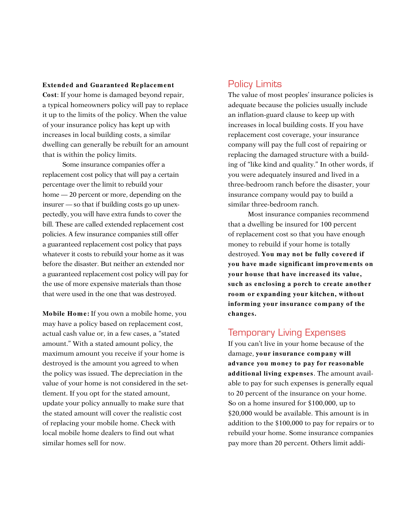#### **Extended and Guaranteed Replacement**

**Cost**: If your home is damaged beyond repair, a typical homeowners policy will pay to replace it up to the limits of the policy. When the value of your insurance policy has kept up with increases in local building costs, a similar dwelling can generally be rebuilt for an amount that is within the policy limits.

Some insurance companies offer a replacement cost policy that will pay a certain percentage over the limit to rebuild your home  $-20$  percent or more, depending on the insurer — so that if building costs go up unexpectedly, you will have extra funds to cover the bill. These are called extended replacement cost policies. A few insurance companies still offer a guaranteed replacement cost policy that pays whatever it costs to rebuild your home as it was before the disaster. But neither an extended nor a guaranteed replacement cost policy will pay for the use of more expensive materials than those that were used in the one that was destroyed.

**Mobile Hom e:** If you own a mobile home, you may have a policy based on replacement cost, actual cash value or, in a few cases, a "stated amount." With a stated amount policy, the maximum amount you receive if your home is destroyed is the amount you agreed to when the policy was issued. The depreciation in the value of your home is not considered in the settlement. If you opt for the stated amount, update your policy annually to make sure that the stated amount will cover the realistic cost of replacing your mobile home. Check with local mobile home dealers to find out what similar homes sell for now.

#### Policy Limits

The value of most peoples' insurance policies is adequate because the policies usually include an inflation-guard clause to keep up with increases in local building costs. If you have replacement cost coverage, your insurance company will pay the full cost of repairing or replacing the damaged structure with a building of "like kind and quality." In other words, if you were adequately insured and lived in a three-bedroom ranch before the disaster, your insurance company would pay to build a similar three-bedroom ranch.

Most insurance companies recommend that a dwelling be insured for 100 percent of replacement cost so that you have enough money to rebuild if your home is totally destroyed. **You m ay not be fully covered if you have m ade significant im provem ents on your house that have increased its value, such as enclosing a porch to create another room or expanding your kitchen, without inform ing your insurance com pany of the changes.**

#### Temporary Living Expenses

If you can't live in your home because of the damage, **your insurance com pany will advance you m oney to pay for reasonable additional living expenses**. The amount available to pay for such expenses is generally equal to 20 percent of the insurance on your home. So on a home insured for \$100,000, up to \$20,000 would be available. This amount is in addition to the \$100,000 to pay for repairs or to rebuild your home. Some insurance companies pay more than 20 percent. Others limit addi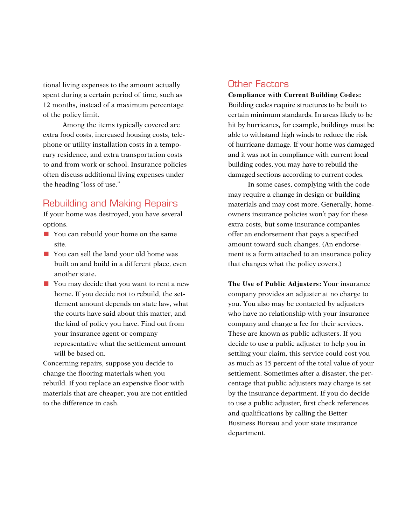tional living expenses to the amount actually spent during a certain period of time, such as 12 months, instead of a maximum percentage of the policy limit.

Among the items typically covered are extra food costs, increased housing costs, telephone or utility installation costs in a temporary residence, and extra transportation costs to and from work or school. Insurance policies often discuss additional living expenses under the heading "loss of use."

#### Rebuilding and Making Repairs

If your home was destroyed, you have several options.

- You can rebuild your home on the same site.
- You can sell the land your old home was built on and build in a different place, even another state.
- You may decide that you want to rent a new home. If you decide not to rebuild, the settlement amount depends on state law, what the courts have said about this matter, and the kind of policy you have. Find out from your insurance agent or company representative what the settlement amount will be based on.

Concerning repairs, suppose you decide to change the flooring materials when you rebuild. If you replace an expensive floor with materials that are cheaper, you are not entitled to the difference in cash.

### Other Factors

**Compliance with Current Building Codes:** Building codes require structures to be built to certain minimum standards. In areas likely to be hit by hurricanes, for example, buildings must be able to withstand high winds to reduce the risk of hurricane damage. If your home was damaged and it was not in compliance with current local building codes, you may have to rebuild the damaged sections according to current codes.

In some cases, complying with the code may require a change in design or building materials and may cost more. Generally, homeowners insurance policies won't pay for these extra costs, but some insurance companies offer an endorsement that pays a specified amount toward such changes. (An endorsement is a form attached to an insurance policy that changes what the policy covers.)

**The Use of Public Adjusters:** Your insurance company provides an adjuster at no charge to you. You also may be contacted by adjusters who have no relationship with your insurance company and charge a fee for their services. These are known as public adjusters. If you decide to use a public adjuster to help you in settling your claim, this service could cost you as much as 15 percent of the total value of your settlement. Sometimes after a disaster, the percentage that public adjusters may charge is set by the insurance department. If you do decide to use a public adjuster, first check references and qualifications by calling the Better Business Bureau and your state insurance department.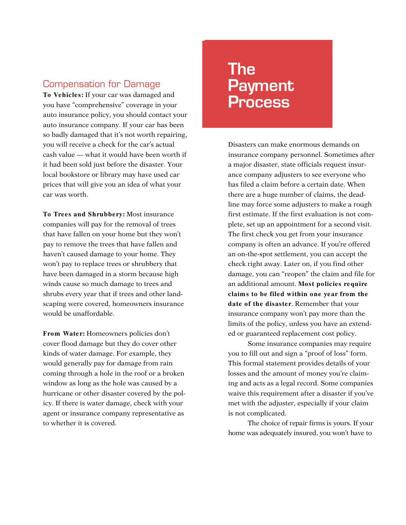#### Compensation for Damage

**To Vehicles:** If your car was damaged and you have "comprehensive" coverage in your auto insurance policy, you should contact your auto insurance company. If your car has been so badly damaged that it's not worth repairing, you will receive a check for the car's actual cash value — what it would have been worth if it had been sold just before the disaster. Your local bookstore or library may have used car prices that will give you an idea of what your car was worth.

**To Trees and Shrubbery:** Most insurance companies will pay for the removal of trees that have fallen on your home but they won't pay to remove the trees that have fallen and haven't caused damage to your home. They won't pay to replace trees or shrubbery that have been damaged in a storm because high winds cause so much damage to trees and shrubs every year that if trees and other landscaping were covered, homeowners insurance would be unaffordable.

**From Water:** Homeowners policies don't cover flood damage but they do cover other kinds of water damage. For example, they would generally pay for damage from rain coming through a hole in the roof or a broken window as long as the hole was caused by a hurricane or other disaster covered by the policy. If there is water damage, check with your agent or insurance company representative as to whether it is covered.

# The **Payment** Process

Disasters can make enormous demands on insurance company personnel. Sometimes after a major disaster, state officials request insurance company adjusters to see everyone who has filed a claim before a certain date. When there are a huge number of claims, the deadline may force some adjusters to make a rough first estimate. If the first evaluation is not complete, set up an appointment for a second visit. The first check you get from your insurance company is often an advance. If you're offered an on-the-spot settlement, you can accept the check right away. Later on, if you find other damage, you can "reopen" the claim and file for an additional amount. **Most policies require claim s to be filed within one year from the date of the disaster**. Remember that your insurance company won't pay more than the limits of the policy, unless you have an extended or guaranteed replacement cost policy.

Some insurance companies may require you to fill out and sign a "proof of loss" form. This formal statement provides details of your losses and the amount of money you're claiming and acts as a legal record. Some companies waive this requirement after a disaster if you've met with the adjuster, especially if your claim is not complicated.

The choice of repair firms is yours. If your home was adequately insured, you won't have to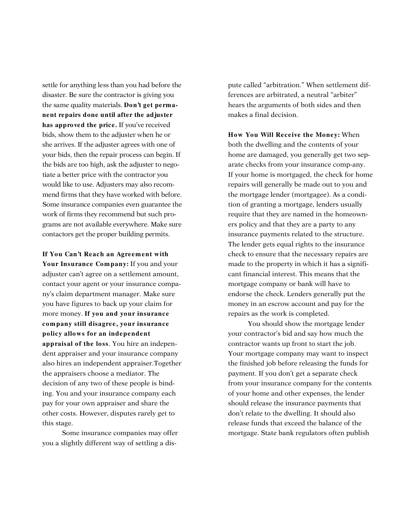settle for anything less than you had before the disaster. Be sure the contractor is giving you the same quality materials. **Don't get permanent repairs done until after the adjuster has approved the price.** If you've received bids, show them to the adjuster when he or she arrives. If the adjuster agrees with one of your bids, then the repair process can begin. If the bids are too high, ask the adjuster to negotiate a better price with the contractor you would like to use. Adjusters may also recommend firms that they have worked with before. Some insurance companies even guarantee the work of firms they recommend but such programs are not available everywhere. Make sure contactors get the proper building permits.

**If You Can't Reach an Agreem ent with** Your Insurance Company: If you and your adjuster can't agree on a settlement amount, contact your agent or your insurance company's claim department manager. Make sure you have figures to back up your claim for more money. **If you and your insurance com pany still disagree, your insurance policy allows for an independent appraisal of the loss**. You hire an independent appraiser and your insurance company also hires an independent appraiser.Together the appraisers choose a mediator. The decision of any two of these people is binding. You and your insurance company each pay for your own appraiser and share the other costs. However, disputes rarely get to this stage.

Some insurance companies may offer you a slightly different way of settling a dispute called "arbitration." When settlement differences are arbitrated, a neutral "arbiter" hears the arguments of both sides and then makes a final decision.

**How You Will Receive the Money:** When both the dwelling and the contents of your home are damaged, you generally get two separate checks from your insurance comp-any. If your home is mortgaged, the check for home repairs will generally be made out to you and the mortgage lender (mortgagee). As a condition of granting a mortgage, lenders usually require that they are named in the homeowners policy and that they are a party to any insurance payments related to the structure. The lender gets equal rights to the insurance check to ensure that the necessary repairs are made to the property in which it has a significant financial interest. This means that the mortgage company or bank will have to endorse the check. Lenders generally put the money in an escrow account and pay for the repairs as the work is completed.

You should show the mortgage lender your contractor's bid and say how much the contractor wants up front to start the job. Your mortgage company may want to inspect the finished job before releasing the funds for payment. If you don't get a separate check from your insurance company for the contents of your home and other expenses, the lender should release the insurance payments that don't relate to the dwelling. It should also release funds that exceed the balance of the mortgage. State bank regulators often publish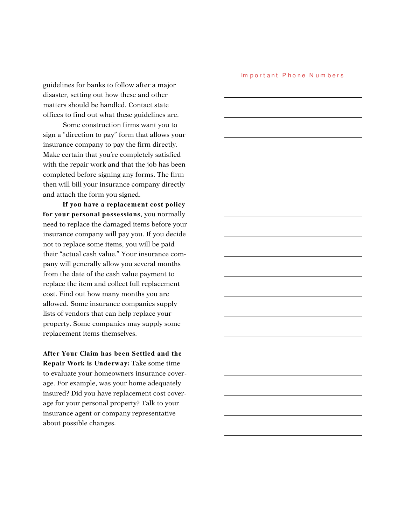Im portant Phone Numbers

guidelines for banks to follow after a major disaster, setting out how these and other matters should be handled. Contact state offices to find out what these guidelines are.

Some construction firms want you to sign a "direction to pay" form that allows your insurance company to pay the firm directly. Make certain that you're completely satisfied with the repair work and that the job has been completed before signing any forms. The firm then will bill your insurance company directly and attach the form you signed.

**If you have a replacem ent cost policy for your personal possessions**, you normally need to replace the damaged items before your insurance company will pay you. If you decide not to replace some items, you will be paid their "actual cash value." Your insurance company will generally allow you several months from the date of the cash value payment to replace the item and collect full replacement cost. Find out how many months you are allowed. Some insurance companies supply lists of vendors that can help replace your property. Some companies may supply some replacement items themselves.

**After Your Claim has been Settled and the Repair Work is Underway:** Take some time to evaluate your homeowners insurance coverage. For example, was your home adequately insured? Did you have replacement cost coverage for your personal property? Talk to your insurance agent or company representative about possible changes.